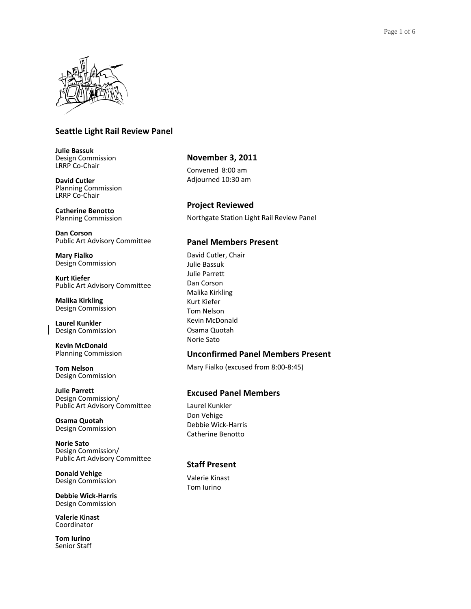

# **Seattle Light Rail Review Panel**

**Julie Bassuk** Design Commission LRRP Co-Chair

**David Cutler** Planning Commission LRRP Co-Chair

**Catherine Benotto** Planning Commission

**Dan Corson** Public Art Advisory Committee

**Mary Fialko** Design Commission

**Kurt Kiefer** Public Art Advisory Committee

**Malika Kirkling** Design Commission

**Laurel Kunkler** Design Commission

**Kevin McDonald** Planning Commission

**Tom Nelson** Design Commission

**Julie Parrett** Design Commission/ Public Art Advisory Committee

**Osama Quotah** Design Commission

**Norie Sato** Design Commission/ Public Art Advisory Committee

**Donald Vehige** Design Commission

**Debbie Wick-Harris** Design Commission

**Valerie Kinast** Coordinator

**Tom Iurino** Senior Staff

# **November 3, 2011**

Convened 8:00 am Adjourned 10:30 am

**Project Reviewed**  Northgate Station Light Rail Review Panel

## **Panel Members Present**

David Cutler, Chair Julie Bassuk Julie Parrett Dan Corson Malika Kirkling Kurt Kiefer Tom Nelson Kevin McDonald Osama Quotah Norie Sato

## **Unconfirmed Panel Members Present**

Mary Fialko (excused from 8:00-8:45)

# **Excused Panel Members**

Laurel Kunkler Don Vehige Debbie Wick-Harris Catherine Benotto

# **Staff Present**

Valerie Kinast Tom Iurino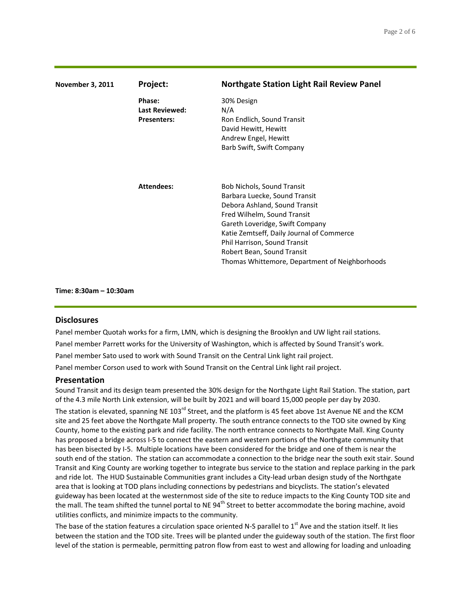| <b>November 3, 2011</b> | Project:                                              | <b>Northgate Station Light Rail Review Panel</b>                                                                                                                                                                                                                                                                                   |
|-------------------------|-------------------------------------------------------|------------------------------------------------------------------------------------------------------------------------------------------------------------------------------------------------------------------------------------------------------------------------------------------------------------------------------------|
|                         | Phase:<br><b>Last Reviewed:</b><br><b>Presenters:</b> | 30% Design<br>N/A<br>Ron Endlich, Sound Transit<br>David Hewitt, Hewitt<br>Andrew Engel, Hewitt<br>Barb Swift, Swift Company                                                                                                                                                                                                       |
|                         | <b>Attendees:</b>                                     | <b>Bob Nichols, Sound Transit</b><br>Barbara Luecke, Sound Transit<br>Debora Ashland, Sound Transit<br>Fred Wilhelm, Sound Transit<br>Gareth Loveridge, Swift Company<br>Katie Zemtseff, Daily Journal of Commerce<br>Phil Harrison, Sound Transit<br>Robert Bean, Sound Transit<br>Thomas Whittemore, Department of Neighborhoods |

**Time: 8:30am – 10:30am**

### **Disclosures**

Panel member Quotah works for a firm, LMN, which is designing the Brooklyn and UW light rail stations. Panel member Parrett works for the University of Washington, which is affected by Sound Transit's work. Panel member Sato used to work with Sound Transit on the Central Link light rail project.

Panel member Corson used to work with Sound Transit on the Central Link light rail project.

### **Presentation**

Sound Transit and its design team presented the 30% design for the Northgate Light Rail Station. The station, part of the 4.3 mile North Link extension, will be built by 2021 and will board 15,000 people per day by 2030.

The station is elevated, spanning NE 103<sup>rd</sup> Street, and the platform is 45 feet above 1st Avenue NE and the KCM site and 25 feet above the Northgate Mall property. The south entrance connects to the TOD site owned by King County, home to the existing park and ride facility. The north entrance connects to Northgate Mall. King County has proposed a bridge across I-5 to connect the eastern and western portions of the Northgate community that has been bisected by I-5. Multiple locations have been considered for the bridge and one of them is near the south end of the station. The station can accommodate a connection to the bridge near the south exit stair. Sound Transit and King County are working together to integrate bus service to the station and replace parking in the park and ride lot. The HUD Sustainable Communities grant includes a City-lead urban design study of the Northgate area that is looking at TOD plans including connections by pedestrians and bicyclists. The station's elevated guideway has been located at the westernmost side of the site to reduce impacts to the King County TOD site and the mall. The team shifted the tunnel portal to NE  $94<sup>th</sup>$  Street to better accommodate the boring machine, avoid utilities conflicts, and minimize impacts to the community.

The base of the station features a circulation space oriented N-S parallel to  $1<sup>st</sup>$  Ave and the station itself. It lies between the station and the TOD site. Trees will be planted under the guideway south of the station. The first floor level of the station is permeable, permitting patron flow from east to west and allowing for loading and unloading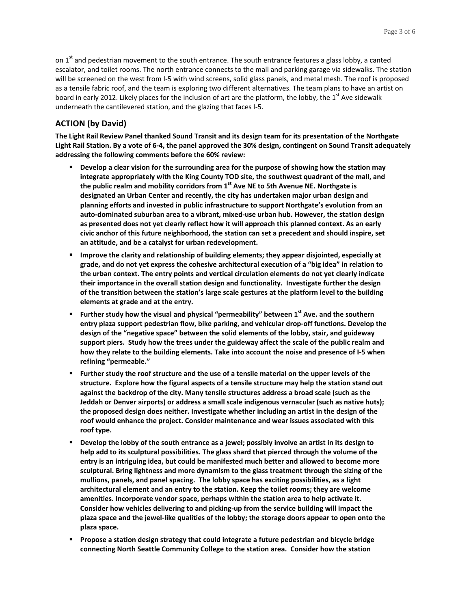on  $1<sup>st</sup>$  and pedestrian movement to the south entrance. The south entrance features a glass lobby, a canted escalator, and toilet rooms. The north entrance connects to the mall and parking garage via sidewalks. The station will be screened on the west from I-5 with wind screens, solid glass panels, and metal mesh. The roof is proposed as a tensile fabric roof, and the team is exploring two different alternatives. The team plans to have an artist on board in early 2012. Likely places for the inclusion of art are the platform, the lobby, the 1st Ave sidewalk underneath the cantilevered station, and the glazing that faces I-5.

## **ACTION (by David)**

**The Light Rail Review Panel thanked Sound Transit and its design team for its presentation of the Northgate Light Rail Station. By a vote of 6-4, the panel approved the 30% design, contingent on Sound Transit adequately addressing the following comments before the 60% review:**

- **Develop a clear vision for the surrounding area for the purpose of showing how the station may integrate appropriately with the King County TOD site, the southwest quadrant of the mall, and the public realm and mobility corridors from 1st Ave NE to 5th Avenue NE. Northgate is designated an Urban Center and recently, the city has undertaken major urban design and planning efforts and invested in public infrastructure to support Northgate's evolution from an auto-dominated suburban area to a vibrant, mixed-use urban hub. However, the station design as presented does not yet clearly reflect how it will approach this planned context. As an early civic anchor of this future neighborhood, the station can set a precedent and should inspire, set an attitude, and be a catalyst for urban redevelopment.**
- **Improve the clarity and relationship of building elements; they appear disjointed, especially at grade, and do not yet express the cohesive architectural execution of a "big idea" in relation to the urban context. The entry points and vertical circulation elements do not yet clearly indicate their importance in the overall station design and functionality. Investigate further the design of the transition between the station's large scale gestures at the platform level to the building elements at grade and at the entry.**
- **Further study how the visual and physical "permeability" between 1 st Ave. and the southern entry plaza support pedestrian flow, bike parking, and vehicular drop-off functions. Develop the design of the "negative space" between the solid elements of the lobby, stair, and guideway support piers. Study how the trees under the guideway affect the scale of the public realm and how they relate to the building elements. Take into account the noise and presence of I-5 when refining "permeable."**
- **Further study the roof structure and the use of a tensile material on the upper levels of the structure. Explore how the figural aspects of a tensile structure may help the station stand out against the backdrop of the city. Many tensile structures address a broad scale (such as the Jeddah or Denver airports) or address a small scale indigenous vernacular (such as native huts); the proposed design does neither. Investigate whether including an artist in the design of the roof would enhance the project. Consider maintenance and wear issues associated with this roof type.**
- **Develop the lobby of the south entrance as a jewel; possibly involve an artist in its design to help add to its sculptural possibilities. The glass shard that pierced through the volume of the entry is an intriguing idea, but could be manifested much better and allowed to become more sculptural. Bring lightness and more dynamism to the glass treatment through the sizing of the mullions, panels, and panel spacing. The lobby space has exciting possibilities, as a light architectural element and an entry to the station. Keep the toilet rooms; they are welcome amenities. Incorporate vendor space, perhaps within the station area to help activate it. Consider how vehicles delivering to and picking-up from the service building will impact the plaza space and the jewel-like qualities of the lobby; the storage doors appear to open onto the plaza space.**
- **Propose a station design strategy that could integrate a future pedestrian and bicycle bridge connecting North Seattle Community College to the station area. Consider how the station**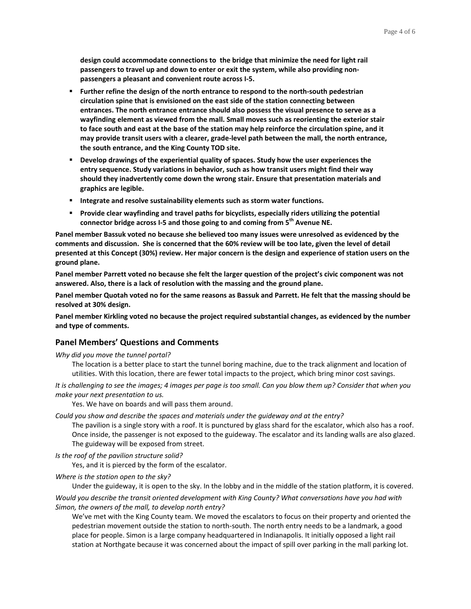**design could accommodate connections to the bridge that minimize the need for light rail passengers to travel up and down to enter or exit the system, while also providing nonpassengers a pleasant and convenient route across I-5.** 

- **Further refine the design of the north entrance to respond to the north-south pedestrian circulation spine that is envisioned on the east side of the station connecting between entrances. The north entrance entrance should also possess the visual presence to serve as a wayfinding element as viewed from the mall. Small moves such as reorienting the exterior stair to face south and east at the base of the station may help reinforce the circulation spine, and it may provide transit users with a clearer, grade-level path between the mall, the north entrance, the south entrance, and the King County TOD site.**
- **Develop drawings of the experiential quality of spaces. Study how the user experiences the entry sequence. Study variations in behavior, such as how transit users might find their way should they inadvertently come down the wrong stair. Ensure that presentation materials and graphics are legible.**
- **Integrate and resolve sustainability elements such as storm water functions.**
- **Provide clear wayfinding and travel paths for bicyclists, especially riders utilizing the potential connector bridge across I-5 and those going to and coming from 5th Avenue NE.**

**Panel member Bassuk voted no because she believed too many issues were unresolved as evidenced by the comments and discussion. She is concerned that the 60% review will be too late, given the level of detail presented at this Concept (30%) review. Her major concern is the design and experience of station users on the ground plane.** 

**Panel member Parrett voted no because she felt the larger question of the project's civic component was not answered. Also, there is a lack of resolution with the massing and the ground plane.**

**Panel member Quotah voted no for the same reasons as Bassuk and Parrett. He felt that the massing should be resolved at 30% design.** 

**Panel member Kirkling voted no because the project required substantial changes, as evidenced by the number and type of comments.**

## **Panel Members' Questions and Comments**

### *Why did you move the tunnel portal?*

The location is a better place to start the tunnel boring machine, due to the track alignment and location of utilities. With this location, there are fewer total impacts to the project, which bring minor cost savings.

*It is challenging to see the images; 4 images per page is too small. Can you blow them up? Consider that when you make your next presentation to us.*

Yes. We have on boards and will pass them around.

*Could you show and describe the spaces and materials under the guideway and at the entry?*

The pavilion is a single story with a roof. It is punctured by glass shard for the escalator, which also has a roof. Once inside, the passenger is not exposed to the guideway. The escalator and its landing walls are also glazed. The guideway will be exposed from street.

*Is the roof of the pavilion structure solid?*

Yes, and it is pierced by the form of the escalator.

*Where is the station open to the sky?*

Under the guideway, it is open to the sky. In the lobby and in the middle of the station platform, it is covered.

*Would you describe the transit oriented development with King County? What conversations have you had with Simon, the owners of the mall, to develop north entry?*

We've met with the King County team. We moved the escalators to focus on their property and oriented the pedestrian movement outside the station to north-south. The north entry needs to be a landmark, a good place for people. Simon is a large company headquartered in Indianapolis. It initially opposed a light rail station at Northgate because it was concerned about the impact of spill over parking in the mall parking lot.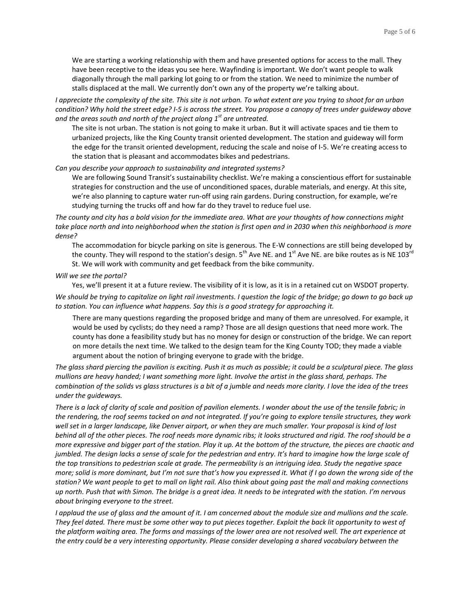We are starting a working relationship with them and have presented options for access to the mall. They have been receptive to the ideas you see here. Wayfinding is important. We don't want people to walk diagonally through the mall parking lot going to or from the station. We need to minimize the number of stalls displaced at the mall. We currently don't own any of the property we're talking about.

*I appreciate the complexity of the site. This site is not urban. To what extent are you trying to shoot for an urban condition? Why hold the street edge? I-5 is across the street. You propose a canopy of trees under guideway above and the areas south and north of the project along 1st are untreated.*

The site is not urban. The station is not going to make it urban. But it will activate spaces and tie them to urbanized projects, like the King County transit oriented development. The station and guideway will form the edge for the transit oriented development, reducing the scale and noise of I-5. We're creating access to the station that is pleasant and accommodates bikes and pedestrians.

#### *Can you describe your approach to sustainability and integrated systems?*

We are following Sound Transit's sustainability checklist. We're making a conscientious effort for sustainable strategies for construction and the use of unconditioned spaces, durable materials, and energy. At this site, we're also planning to capture water run-off using rain gardens. During construction, for example, we're studying turning the trucks off and how far do they travel to reduce fuel use.

*The county and city has a bold vision for the immediate area. What are your thoughts of how connections might take place north and into neighborhood when the station is first open and in 2030 when this neighborhood is more dense?*

The accommodation for bicycle parking on site is generous. The E-W connections are still being developed by the county. They will respond to the station's design.  $5^{th}$  Ave NE. and  $1^{st}$  Ave NE. are bike routes as is NE 103 $^{rd}$ St. We will work with community and get feedback from the bike community.

#### *Will we see the portal?*

Yes, we'll present it at a future review. The visibility of it is low, as it is in a retained cut on WSDOT property.

*We should be trying to capitalize on light rail investments. I question the logic of the bridge; go down to go back up to station. You can influence what happens. Say this is a good strategy for approaching it.*

There are many questions regarding the proposed bridge and many of them are unresolved. For example, it would be used by cyclists; do they need a ramp? Those are all design questions that need more work. The county has done a feasibility study but has no money for design or construction of the bridge. We can report on more details the next time. We talked to the design team for the King County TOD; they made a viable argument about the notion of bringing everyone to grade with the bridge.

*The glass shard piercing the pavilion is exciting. Push it as much as possible; it could be a sculptural piece. The glass mullions are heavy handed; I want something more light. Involve the artist in the glass shard, perhaps. The combination of the solids vs glass structures is a bit of a jumble and needs more clarity. I love the idea of the trees under the guideways.*

*There is a lack of clarity of scale and position of pavilion elements. I wonder about the use of the tensile fabric; in the rendering, the roof seems tacked on and not integrated. If you're going to explore tensile structures, they work well set in a larger landscape, like Denver airport, or when they are much smaller. Your proposal is kind of lost behind all of the other pieces. The roof needs more dynamic ribs; it looks structured and rigid. The roof should be a more expressive and bigger part of the station. Play it up. At the bottom of the structure, the pieces are chaotic and jumbled. The design lacks a sense of scale for the pedestrian and entry. It's hard to imagine how the large scale of the top transitions to pedestrian scale at grade. The permeability is an intriguing idea. Study the negative space more; solid is more dominant, but I'm not sure that's how you expressed it. What if I go down the wrong side of the station? We want people to get to mall on light rail. Also think about going past the mall and making connections up north. Push that with Simon. The bridge is a great idea. It needs to be integrated with the station. I'm nervous about bringing everyone to the street.*

*I applaud the use of glass and the amount of it. I am concerned about the module size and mullions and the scale. They feel dated. There must be some other way to put pieces together. Exploit the back lit opportunity to west of the platform waiting area. The forms and massings of the lower area are not resolved well. The art experience at the entry could be a very interesting opportunity. Please consider developing a shared vocabulary between the*